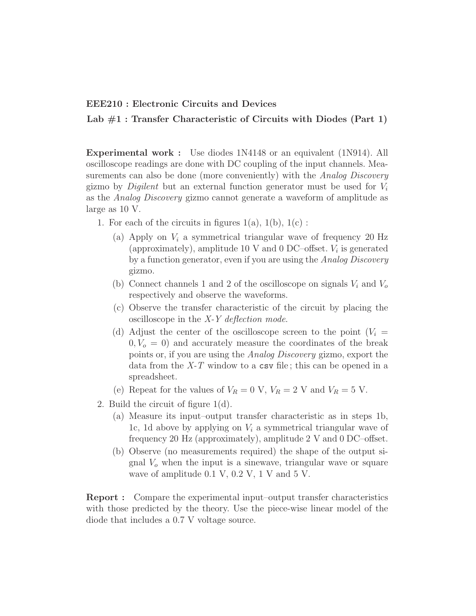## EEE210 : Electronic Circuits and Devices

Lab  $#1$ : Transfer Characteristic of Circuits with Diodes (Part 1)

Experimental work : Use diodes 1N4148 or an equivalent (1N914). All oscilloscope readings are done with DC coupling of the input channels. Measurements can also be done (more conveniently) with the Analog Discovery gizmo by *Digilent* but an external function generator must be used for  $V_i$ as the Analog Discovery gizmo cannot generate a waveform of amplitude as large as 10 V.

- 1. For each of the circuits in figures  $1(a)$ ,  $1(b)$ ,  $1(c)$ :
	- (a) Apply on  $V_i$  a symmetrical triangular wave of frequency 20 Hz (approximately), amplitude 10 V and 0 DC–offset.  $V_i$  is generated by a function generator, even if you are using the Analog Discovery gizmo.
	- (b) Connect channels 1 and 2 of the oscilloscope on signals  $V_i$  and  $V_o$ respectively and observe the waveforms.
	- (c) Observe the transfer characteristic of the circuit by placing the oscilloscope in the X-Y deflection mode.
	- (d) Adjust the center of the oscilloscope screen to the point  $(V_i =$  $0, V<sub>o</sub> = 0$  and accurately measure the coordinates of the break points or, if you are using the Analog Discovery gizmo, export the data from the  $X-T$  window to a csv file; this can be opened in a spreadsheet.
	- (e) Repeat for the values of  $V_R = 0$  V,  $V_R = 2$  V and  $V_R = 5$  V.
- 2. Build the circuit of figure 1(d).
	- (a) Measure its input–output transfer characteristic as in steps 1b, 1c, 1d above by applying on  $V_i$  a symmetrical triangular wave of frequency 20 Hz (approximately), amplitude 2 V and 0 DC–offset.
	- (b) Observe (no measurements required) the shape of the output signal  $V<sub>o</sub>$  when the input is a sinewave, triangular wave or square wave of amplitude 0.1 V, 0.2 V, 1 V and 5 V.

Report : Compare the experimental input–output transfer characteristics with those predicted by the theory. Use the piece-wise linear model of the diode that includes a 0.7 V voltage source.